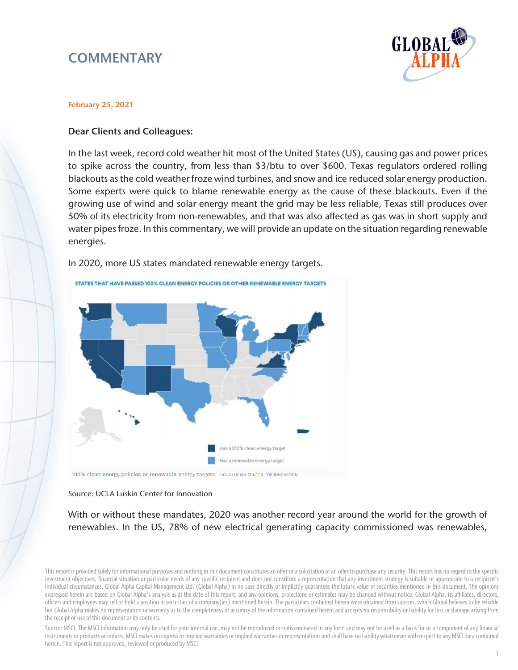# **COMMENTARY**



### February 25, 2021

## Dear Clients and Colleagues:

In the last week, record cold weather hit most of the United States (US), causing gas and power prices to spike across the country, from less than \$3/btu to over \$600. Texas regulators ordered rolling blackouts as the cold weather froze wind turbines, and snow and ice reduced solar energy production. Some experts were quick to blame renewable energy as the cause of these blackouts. Even if the growing use of wind and solar energy meant the grid may be less reliable, Texas still produces over 50% of its electricity from non-renewables, and that was also affected as gas was in short supply and water pipes froze. In this commentary, we will provide an update on the situation regarding renewable energies.

In 2020, more US states mandated renewable energy targets.



100% clean energy policies or renewable energy targets ucla Luskin CENTER FOR INNOVATION

#### Source: UCLA Luskin Center for Innovation

With or without these mandates, 2020 was another record year around the world for the growth of renewables. In the US, 78% of new electrical generating capacity commissioned was renewables,

This report is provided solely for informational purposes and nothing in this document constitutes an offer or a solicitation of an offer to purchase any security. This report has no regard to the specific investment objectives, financial situation or particular needs of any specific recipient and does not constitute a representation that any investment strategy is suitable or appropriate to a recipient's individual circumstances. Global Alpha Capital Management Ltd. (Global Alpha) in no case directly or implicitly guarantees the future value of securities mentioned in this document. The opinions expressed herein are based on Global Alpha's analysis as at the date of this report, and any opinions, projections or estimates may be changed without notice. Global Alpha, its affiliates, directors, officers and employees may sell or hold a position in securities of a company(ies) mentioned herein. The particulars contained herein were obtained from sources, which Global believes to be reliable but Global Alpha makes no representation or warranty as to the completeness or accuracy of the information contained herein and accepts no responsibility or liability for loss or damage arising from the receipt or use of this document or its contents.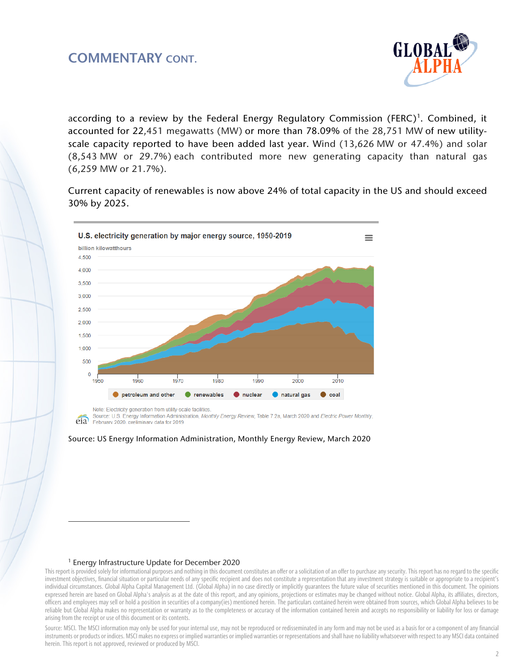## COMMENTARY CONT.



according to a review by the Federal Energy Regulatory Commission (FERC)<sup>[1](#page-1-0)</sup>. Combined, it accounted for 22,451 megawatts (MW) or more than 78.09% of the 28,751 MW of new utilityscale capacity reported to have been added last year. Wind (13,626 MW or 47.4%) and solar (8,543 MW or 29.7%) each contributed more new generating capacity than natural gas (6,259 MW or 21.7%).

Current capacity of renewables is now above 24% of total capacity in the US and should exceed 30% by 2025.



Note: Electricity generation from utility-scale facilities

Source: U.S. Energy Information Administration, Monthly Energy Review, Table 7.2a, March 2020 and Electric Power Monthly, eia February 2020, preliminary data for 2019



#### <sup>1</sup> Energy Infrastructure Update for December 2020

 $\overline{a}$ 

<span id="page-1-0"></span>This report is provided solely for informational purposes and nothing in this document constitutes an offer or a solicitation of an offer to purchase any security. This report has no regard to the specific investment objectives, financial situation or particular needs of any specific recipient and does not constitute a representation that any investment strategy is suitable or appropriate to a recipient's individual circumstances. Global Alpha Capital Management Ltd. (Global Alpha) in no case directly or implicitly guarantees the future value of securities mentioned in this document. The opinions expressed herein are based on Global Alpha's analysis as at the date of this report, and any opinions, projections or estimates may be changed without notice. Global Alpha, its affiliates, directors, officers and employees may sell or hold a position in securities of a company(ies) mentioned herein. The particulars contained herein were obtained from sources, which Global Alpha believes to be reliable but Global Alpha makes no representation or warranty as to the completeness or accuracy of the information contained herein and accepts no responsibility or liability for loss or damage arising from the receipt or use of this document or its contents.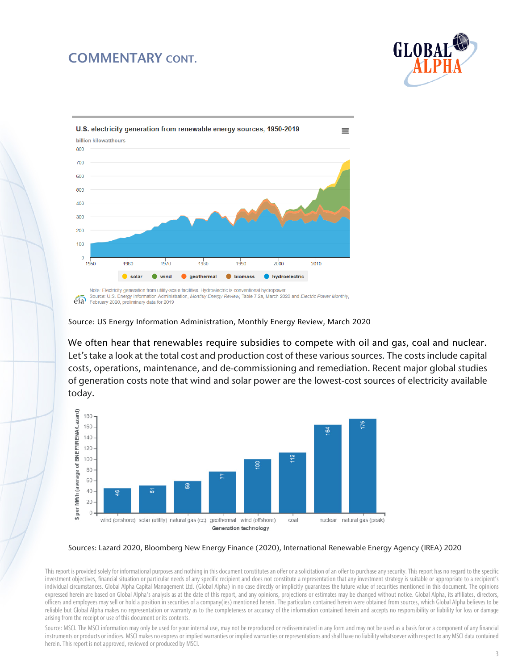## COMMENTARY CONT.





Source: US Energy Information Administration, Monthly Energy Review, March 2020

We often hear that renewables require subsidies to compete with oil and gas, coal and nuclear. Let's take a look at the total cost and production cost of these various sources. The costs include capital costs, operations, maintenance, and de-commissioning and remediation. Recent major global studies of generation costs note that wind and solar power are the lowest-cost sources of electricity available today.



#### Sources: Lazard 2020, Bloomberg New Energy Finance (2020), International Renewable Energy Agency (IREA) 2020

This report is provided solely for informational purposes and nothing in this document constitutes an offer or a solicitation of an offer to purchase any security. This report has no regard to the specific investment objectives, financial situation or particular needs of any specific recipient and does not constitute a representation that any investment strategy is suitable or appropriate to a recipient's individual circumstances. Global Alpha Capital Management Ltd. (Global Alpha) in no case directly or implicitly guarantees the future value of securities mentioned in this document. The opinions expressed herein are based on Global Alpha's analysis as at the date of this report, and any opinions, projections or estimates may be changed without notice. Global Alpha, its affiliates, directors, officers and employees may sell or hold a position in securities of a company(ies) mentioned herein. The particulars contained herein were obtained from sources, which Global Alpha believes to be reliable but Global Alpha makes no representation or warranty as to the completeness or accuracy of the information contained herein and accepts no responsibility or liability for loss or damage arising from the receipt or use of this document or its contents.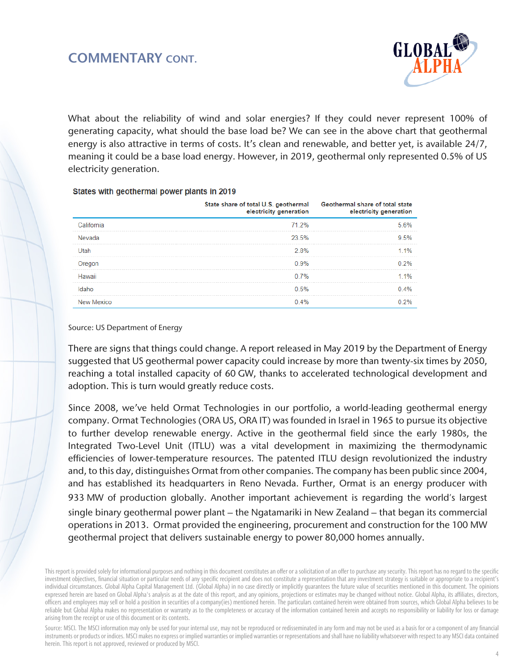

What about the reliability of wind and solar energies? If they could never represent 100% of generating capacity, what should the base load be? We can see in the above chart that geothermal energy is also attractive in terms of costs. It's clean and renewable, and better yet, is available 24/7, meaning it could be a base load energy. However, in 2019, geothermal only represented 0.5% of US electricity generation.

### States with geothermal power plants in 2019

|            | State share of total U.S. geothermal<br>electricity generation | Geothermal share of total state<br>electricity generation |
|------------|----------------------------------------------------------------|-----------------------------------------------------------|
| California | 71 2%                                                          | 5.6%                                                      |
| Nevada     | 23.5%                                                          | 9.5%                                                      |
| Utah       | 2.8%                                                           | $11\%$                                                    |
| Oregon     | 0.9%                                                           | 0.2%                                                      |
| Hawaii     | 0.7%                                                           | 1 1%                                                      |
| Idaho      | 0.5%                                                           | 0.4%                                                      |
| New Mexico | በ 4%                                                           | 2%                                                        |

### Source: US Department of Energy

There are signs that things could change. A report released in May 2019 by the Department of Energy suggested that US geothermal power capacity could increase by more than twenty-six times by 2050, reaching a total installed capacity of 60 GW, thanks to accelerated technological development and adoption. This is turn would greatly reduce costs.

Since 2008, we've held Ormat Technologies in our portfolio, a world-leading geothermal energy company. Ormat Technologies (ORA US, ORA IT) was founded in Israel in 1965 to pursue its objective to further develop renewable energy. Active in the geothermal field since the early 1980s, the Integrated Two-Level Unit (ITLU) was a vital development in maximizing the thermodynamic efficiencies of lower-temperature resources. The patented ITLU design revolutionized the industry and, to this day, distinguishes Ormat from other companies. The company has been public since 2004, and has established its headquarters in Reno Nevada. Further, Ormat is an energy producer with 933 MW of production globally. Another important achievement is regarding the world's largest single binary geothermal power plant – the Ngatamariki in New Zealand – that began its commercial operations in 2013. Ormat provided the engineering, procurement and construction for the 100 MW geothermal project that delivers sustainable energy to power 80,000 homes annually.

This report is provided solely for informational purposes and nothing in this document constitutes an offer or a solicitation of an offer to purchase any security. This report has no regard to the specific investment objectives, financial situation or particular needs of any specific recipient and does not constitute a representation that any investment strategy is suitable or appropriate to a recipient's individual circumstances. Global Alpha Capital Management Ltd. (Global Alpha) in no case directly or implicitly guarantees the future value of securities mentioned in this document. The opinions expressed herein are based on Global Alpha's analysis as at the date of this report, and any opinions, projections or estimates may be changed without notice. Global Alpha, its affiliates, directors, officers and employees may sell or hold a position in securities of a company(ies) mentioned herein. The particulars contained herein were obtained from sources, which Global Alpha believes to be reliable but Global Alpha makes no representation or warranty as to the completeness or accuracy of the information contained herein and accepts no responsibility or liability for loss or damage arising from the receipt or use of this document or its contents.